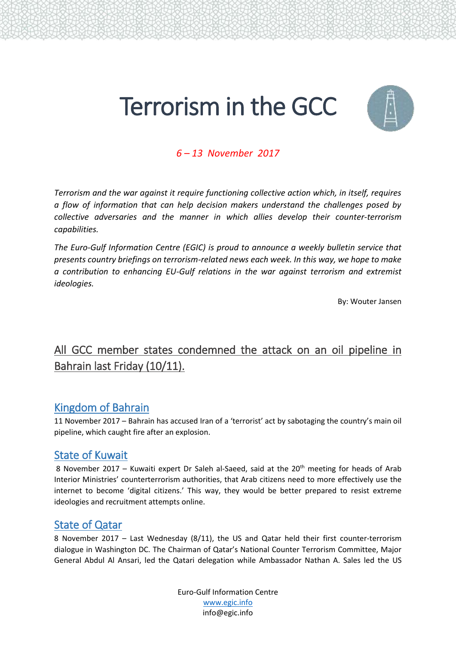# Terrorism in the GCC



# *6 – 13 November 2017*

*Terrorism and the war against it require functioning collective action which, in itself, requires a flow of information that can help decision makers understand the challenges posed by collective adversaries and the manner in which allies develop their counter-terrorism capabilities.* 

*The Euro-Gulf Information Centre (EGIC) is proud to announce a weekly bulletin service that presents country briefings on terrorism-related news each week. In this way, we hope to make a contribution to enhancing EU-Gulf relations in the war against terrorism and extremist ideologies.*

By: Wouter Jansen

# All GCC member states condemned the attack on an oil pipeline in Bahrain last Friday (10/11).

# Kingdom of Bahrain

11 November 2017 – Bahrain has accused Iran of a 'terrorist' act by sabotaging the country's main oil pipeline, which caught fire after an explosion.

#### State of Kuwait

8 November 2017 – Kuwaiti expert Dr Saleh al-Saeed, said at the 20<sup>th</sup> meeting for heads of Arab Interior Ministries' counterterrorism authorities, that Arab citizens need to more effectively use the internet to become 'digital citizens.' This way, they would be better prepared to resist extreme ideologies and recruitment attempts online.

#### State of Qatar

8 November 2017 – Last Wednesday (8/11), the US and Qatar held their first counter-terrorism dialogue in Washington DC. The Chairman of Qatar's National Counter Terrorism Committee, Major General Abdul Al Ansari, led the Qatari delegation while Ambassador Nathan A. Sales led the US

> Euro-Gulf Information Centre [www.egic.info](http://www.egic.info/) info@egic.info